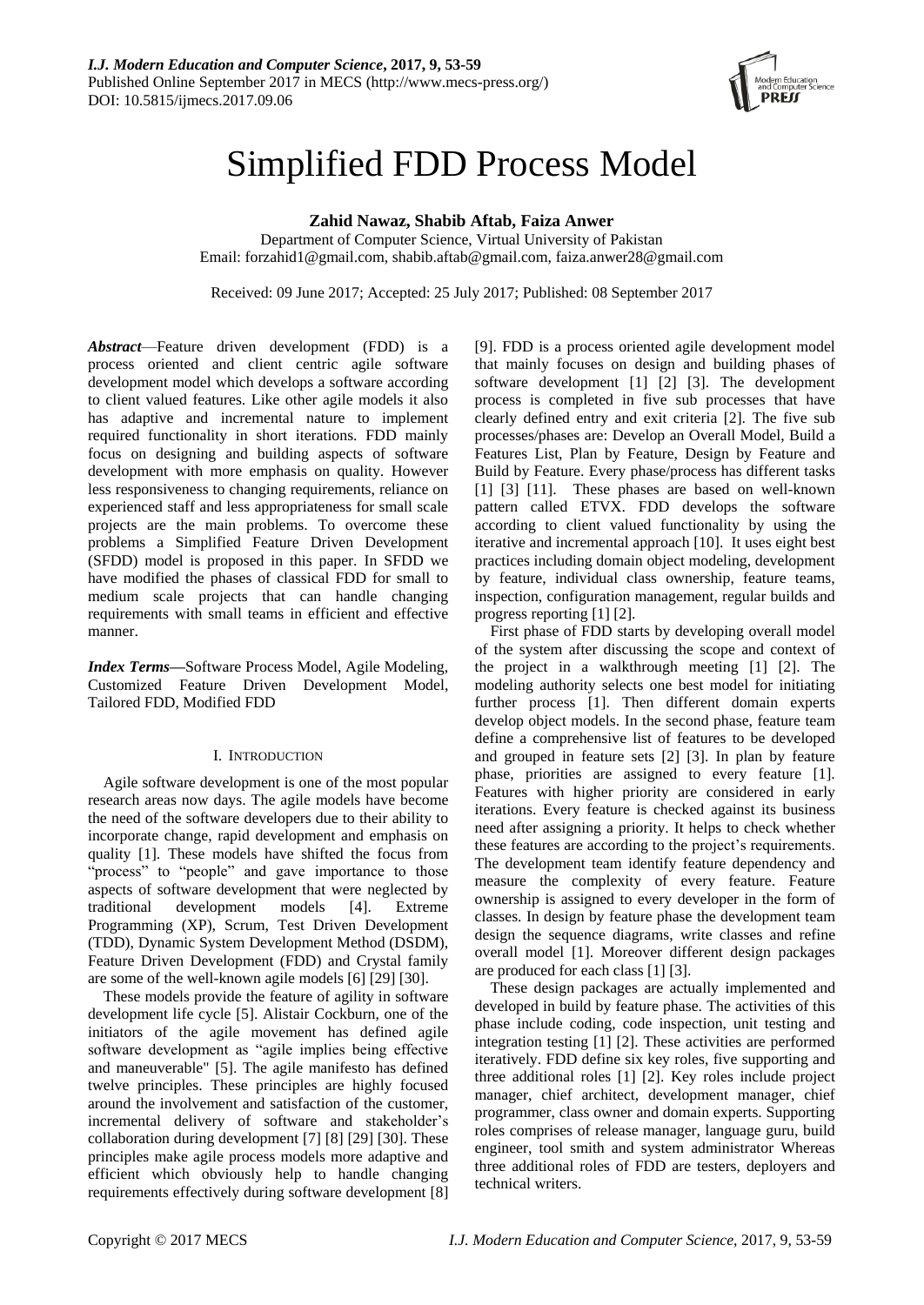

# Simplified FDD Process Model

**Zahid Nawaz, Shabib Aftab, Faiza Anwer**

Department of Computer Science, Virtual University of Pakistan Email: [forzahid1@gmail.com,](mailto:forzahid1@gmail.com) shabib.aftab@gmail.com, faiza.anwer28@gmail.com

Received: 09 June 2017; Accepted: 25 July 2017; Published: 08 September 2017

*Abstract*—Feature driven development (FDD) is a process oriented and client centric agile software development model which develops a software according to client valued features. Like other agile models it also has adaptive and incremental nature to implement required functionality in short iterations. FDD mainly focus on designing and building aspects of software development with more emphasis on quality. However less responsiveness to changing requirements, reliance on experienced staff and less appropriateness for small scale projects are the main problems. To overcome these problems a Simplified Feature Driven Development (SFDD) model is proposed in this paper. In SFDD we have modified the phases of classical FDD for small to medium scale projects that can handle changing requirements with small teams in efficient and effective manner.

*Index Terms***—**Software Process Model, Agile Modeling, Customized Feature Driven Development Model, Tailored FDD, Modified FDD

## I. INTRODUCTION

Agile software development is one of the most popular research areas now days. The agile models have become the need of the software developers due to their ability to incorporate change, rapid development and emphasis on quality [1]. These models have shifted the focus from "process" to "people" and gave importance to those aspects of software development that were neglected by traditional development models [4]. Extreme Programming (XP), Scrum, Test Driven Development (TDD), Dynamic System Development Method (DSDM), Feature Driven Development (FDD) and Crystal family are some of the well-known agile models [6] [29] [30].

These models provide the feature of agility in software development life cycle [5]. Alistair Cockburn, one of the initiators of the agile movement has defined agile software development as "agile implies being effective and maneuverable" [5]. The agile manifesto has defined twelve principles. These principles are highly focused around the involvement and satisfaction of the customer, incremental delivery of software and stakeholder's collaboration during development [7] [8] [29] [30]. These principles make agile process models more adaptive and efficient which obviously help to handle changing requirements effectively during software development [8]

[9]. FDD is a process oriented agile development model that mainly focuses on design and building phases of software development [1] [2] [3]. The development process is completed in five sub processes that have clearly defined entry and exit criteria [2]. The five sub processes/phases are: Develop an Overall Model, Build a Features List, Plan by Feature, Design by Feature and Build by Feature. Every phase/process has different tasks [1] [3] [11]. These phases are based on well-known pattern called ETVX. FDD develops the software according to client valued functionality by using the iterative and incremental approach [10]. It uses eight best practices including domain object modeling, development by feature, individual class ownership, feature teams, inspection, configuration management, regular builds and progress reporting [1] [2].

First phase of FDD starts by developing overall model of the system after discussing the scope and context of the project in a walkthrough meeting [1] [2]. The modeling authority selects one best model for initiating further process [1]. Then different domain experts develop object models. In the second phase, feature team define a comprehensive list of features to be developed and grouped in feature sets [2] [3]. In plan by feature phase, priorities are assigned to every feature [1]. Features with higher priority are considered in early iterations. Every feature is checked against its business need after assigning a priority. It helps to check whether these features are according to the project's requirements. The development team identify feature dependency and measure the complexity of every feature. Feature ownership is assigned to every developer in the form of classes. In design by feature phase the development team design the sequence diagrams, write classes and refine overall model [1]. Moreover different design packages are produced for each class [1] [3].

These design packages are actually implemented and developed in build by feature phase. The activities of this phase include coding, code inspection, unit testing and integration testing [1] [2]. These activities are performed iteratively. FDD define six key roles, five supporting and three additional roles [1] [2]. Key roles include project manager, chief architect, development manager, chief programmer, class owner and domain experts. Supporting roles comprises of release manager, language guru, build engineer, tool smith and system administrator Whereas three additional roles of FDD are testers, deployers and technical writers.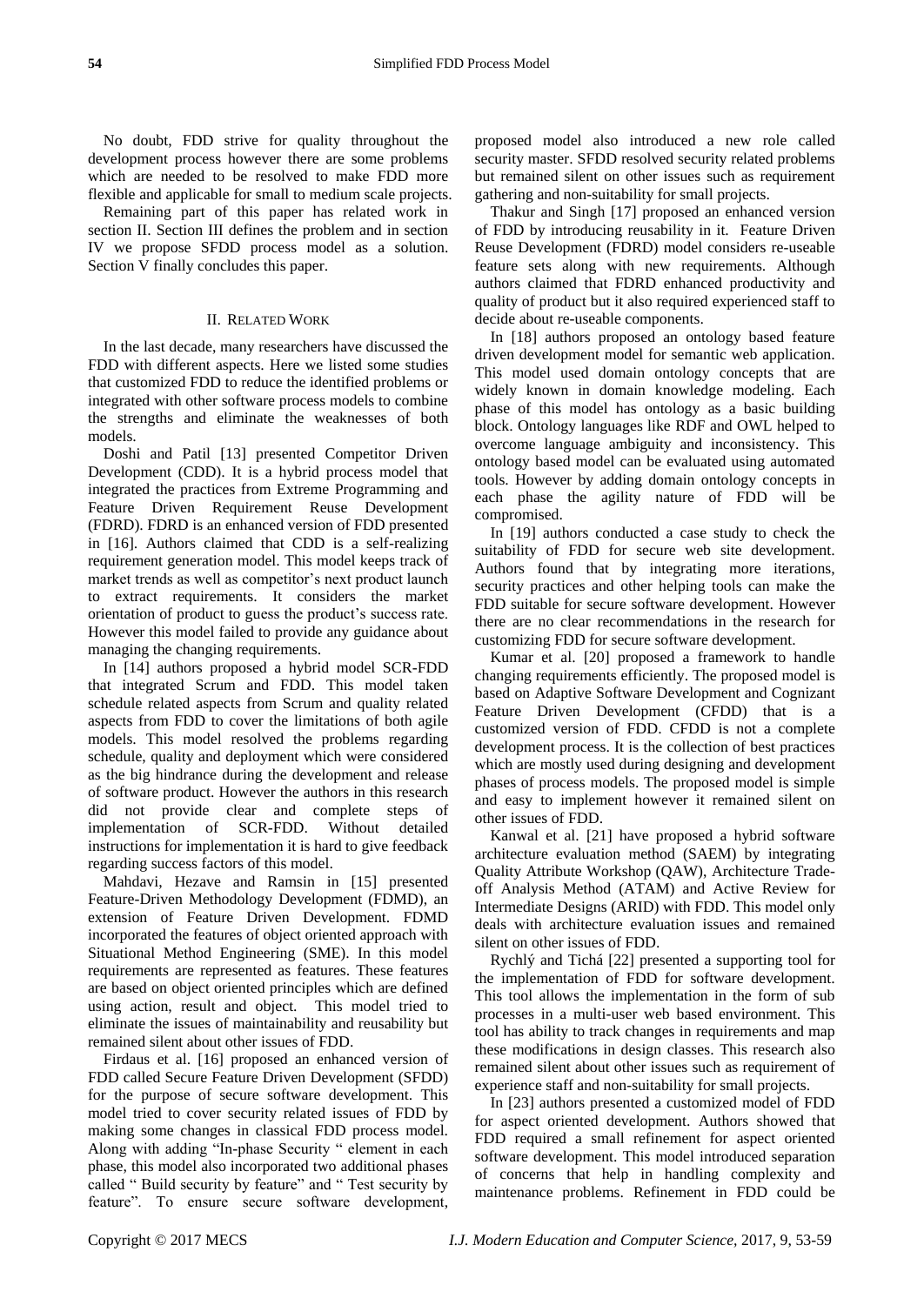No doubt, FDD strive for quality throughout the development process however there are some problems which are needed to be resolved to make FDD more flexible and applicable for small to medium scale projects.

Remaining part of this paper has related work in section II. Section III defines the problem and in section IV we propose SFDD process model as a solution. Section V finally concludes this paper.

# II. RELATED WORK

In the last decade, many researchers have discussed the FDD with different aspects. Here we listed some studies that customized FDD to reduce the identified problems or integrated with other software process models to combine the strengths and eliminate the weaknesses of both models.

Doshi and Patil [13] presented Competitor Driven Development (CDD). It is a hybrid process model that integrated the practices from Extreme Programming and Feature Driven Requirement Reuse Development (FDRD). FDRD is an enhanced version of FDD presented in [16]. Authors claimed that CDD is a self-realizing requirement generation model. This model keeps track of market trends as well as competitor's next product launch to extract requirements. It considers the market orientation of product to guess the product's success rate. However this model failed to provide any guidance about managing the changing requirements.

In [14] authors proposed a hybrid model SCR-FDD that integrated Scrum and FDD. This model taken schedule related aspects from Scrum and quality related aspects from FDD to cover the limitations of both agile models. This model resolved the problems regarding schedule, quality and deployment which were considered as the big hindrance during the development and release of software product. However the authors in this research did not provide clear and complete steps of implementation of SCR-FDD. Without detailed instructions for implementation it is hard to give feedback regarding success factors of this model.

Mahdavi, Hezave and Ramsin in [15] presented Feature-Driven Methodology Development (FDMD), an extension of Feature Driven Development. FDMD incorporated the features of object oriented approach with Situational Method Engineering (SME). In this model requirements are represented as features. These features are based on object oriented principles which are defined using action, result and object. This model tried to eliminate the issues of maintainability and reusability but remained silent about other issues of FDD.

Firdaus et al. [16] proposed an enhanced version of FDD called Secure Feature Driven Development (SFDD) for the purpose of secure software development. This model tried to cover security related issues of FDD by making some changes in classical FDD process model. Along with adding "In-phase Security " element in each phase, this model also incorporated two additional phases called " Build security by feature" and " Test security by feature". To ensure secure software development,

proposed model also introduced a new role called security master. SFDD resolved security related problems but remained silent on other issues such as requirement gathering and non-suitability for small projects.

Thakur and Singh [17] proposed an enhanced version of FDD by introducing reusability in it. Feature Driven Reuse Development (FDRD) model considers re-useable feature sets along with new requirements. Although authors claimed that FDRD enhanced productivity and quality of product but it also required experienced staff to decide about re-useable components.

In [18] authors proposed an ontology based feature driven development model for semantic web application. This model used domain ontology concepts that are widely known in domain knowledge modeling. Each phase of this model has ontology as a basic building block. Ontology languages like RDF and OWL helped to overcome language ambiguity and inconsistency. This ontology based model can be evaluated using automated tools. However by adding domain ontology concepts in each phase the agility nature of FDD will be compromised.

In [19] authors conducted a case study to check the suitability of FDD for secure web site development. Authors found that by integrating more iterations, security practices and other helping tools can make the FDD suitable for secure software development. However there are no clear recommendations in the research for customizing FDD for secure software development.

Kumar et al. [20] proposed a framework to handle changing requirements efficiently. The proposed model is based on Adaptive Software Development and Cognizant Feature Driven Development (CFDD) that is a customized version of FDD. CFDD is not a complete development process. It is the collection of best practices which are mostly used during designing and development phases of process models. The proposed model is simple and easy to implement however it remained silent on other issues of FDD.

Kanwal et al. [21] have proposed a hybrid software architecture evaluation method (SAEM) by integrating Quality Attribute Workshop (QAW), Architecture Tradeoff Analysis Method (ATAM) and Active Review for Intermediate Designs (ARID) with FDD. This model only deals with architecture evaluation issues and remained silent on other issues of FDD.

Rychlý and Tichá [22] presented a supporting tool for the implementation of FDD for software development. This tool allows the implementation in the form of sub processes in a multi-user web based environment. This tool has ability to track changes in requirements and map these modifications in design classes. This research also remained silent about other issues such as requirement of experience staff and non-suitability for small projects.

In [23] authors presented a customized model of FDD for aspect oriented development. Authors showed that FDD required a small refinement for aspect oriented software development. This model introduced separation of concerns that help in handling complexity and maintenance problems. Refinement in FDD could be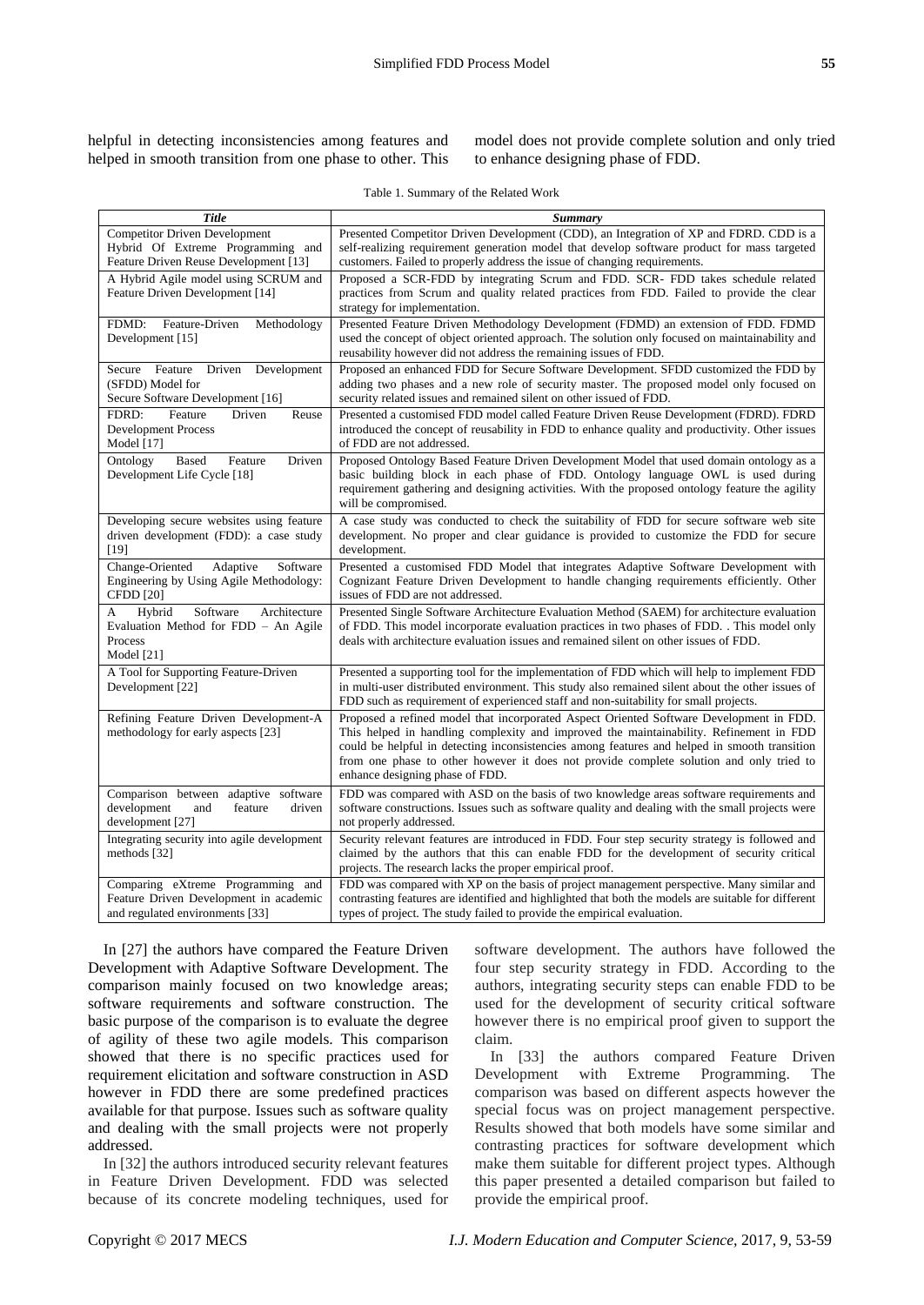model does not provide complete solution and only tried to enhance designing phase of FDD.

| Table 1. Summary of the Related Work |  |  |  |  |
|--------------------------------------|--|--|--|--|
|--------------------------------------|--|--|--|--|

| Title                                                                                                              | <b>Summary</b>                                                                                                                                                                                                                                                                                                                                                                                                  |
|--------------------------------------------------------------------------------------------------------------------|-----------------------------------------------------------------------------------------------------------------------------------------------------------------------------------------------------------------------------------------------------------------------------------------------------------------------------------------------------------------------------------------------------------------|
| <b>Competitor Driven Development</b><br>Hybrid Of Extreme Programming and<br>Feature Driven Reuse Development [13] | Presented Competitor Driven Development (CDD), an Integration of XP and FDRD. CDD is a<br>self-realizing requirement generation model that develop software product for mass targeted<br>customers. Failed to properly address the issue of changing requirements.                                                                                                                                              |
| A Hybrid Agile model using SCRUM and<br>Feature Driven Development [14]                                            | Proposed a SCR-FDD by integrating Scrum and FDD. SCR-FDD takes schedule related<br>practices from Scrum and quality related practices from FDD. Failed to provide the clear<br>strategy for implementation.                                                                                                                                                                                                     |
| Feature-Driven<br>Methodology<br>FDMD:<br>Development [15]                                                         | Presented Feature Driven Methodology Development (FDMD) an extension of FDD. FDMD<br>used the concept of object oriented approach. The solution only focused on maintainability and<br>reusability however did not address the remaining issues of FDD.                                                                                                                                                         |
| Development<br>Secure Feature<br>Driven<br>(SFDD) Model for<br>Secure Software Development [16]                    | Proposed an enhanced FDD for Secure Software Development. SFDD customized the FDD by<br>adding two phases and a new role of security master. The proposed model only focused on<br>security related issues and remained silent on other issued of FDD.                                                                                                                                                          |
| Feature<br>Driven<br>Reuse<br>FDRD:<br><b>Development Process</b><br>Model [17]                                    | Presented a customised FDD model called Feature Driven Reuse Development (FDRD). FDRD<br>introduced the concept of reusability in FDD to enhance quality and productivity. Other issues<br>of FDD are not addressed.                                                                                                                                                                                            |
| <b>Based</b><br>Feature<br>Driven<br>Ontology<br>Development Life Cycle [18]                                       | Proposed Ontology Based Feature Driven Development Model that used domain ontology as a<br>basic building block in each phase of FDD. Ontology language OWL is used during<br>requirement gathering and designing activities. With the proposed ontology feature the agility<br>will be compromised.                                                                                                            |
| Developing secure websites using feature<br>driven development (FDD): a case study<br>$[19]$                       | A case study was conducted to check the suitability of FDD for secure software web site<br>development. No proper and clear guidance is provided to customize the FDD for secure<br>development.                                                                                                                                                                                                                |
| Change-Oriented<br>Adaptive<br>Software<br>Engineering by Using Agile Methodology:<br><b>CFDD</b> [20]             | Presented a customised FDD Model that integrates Adaptive Software Development with<br>Cognizant Feature Driven Development to handle changing requirements efficiently. Other<br>issues of FDD are not addressed.                                                                                                                                                                                              |
| Architecture<br>Hybrid<br>Software<br>А<br>Evaluation Method for FDD - An Agile<br>Process<br>Model $[21]$         | Presented Single Software Architecture Evaluation Method (SAEM) for architecture evaluation<br>of FDD. This model incorporate evaluation practices in two phases of FDD. This model only<br>deals with architecture evaluation issues and remained silent on other issues of FDD.                                                                                                                               |
| A Tool for Supporting Feature-Driven<br>Development [22]                                                           | Presented a supporting tool for the implementation of FDD which will help to implement FDD<br>in multi-user distributed environment. This study also remained silent about the other issues of<br>FDD such as requirement of experienced staff and non-suitability for small projects.                                                                                                                          |
| Refining Feature Driven Development-A<br>methodology for early aspects [23]                                        | Proposed a refined model that incorporated Aspect Oriented Software Development in FDD.<br>This helped in handling complexity and improved the maintainability. Refinement in FDD<br>could be helpful in detecting inconsistencies among features and helped in smooth transition<br>from one phase to other however it does not provide complete solution and only tried to<br>enhance designing phase of FDD. |
| Comparison between adaptive software<br>development<br>and<br>feature<br>driven<br>development [27]                | FDD was compared with ASD on the basis of two knowledge areas software requirements and<br>software constructions. Issues such as software quality and dealing with the small projects were<br>not properly addressed.                                                                                                                                                                                          |
| Integrating security into agile development<br>methods $[32]$                                                      | Security relevant features are introduced in FDD. Four step security strategy is followed and<br>claimed by the authors that this can enable FDD for the development of security critical<br>projects. The research lacks the proper empirical proof.                                                                                                                                                           |
| Comparing eXtreme Programming and<br>Feature Driven Development in academic<br>and regulated environments [33]     | FDD was compared with XP on the basis of project management perspective. Many similar and<br>contrasting features are identified and highlighted that both the models are suitable for different<br>types of project. The study failed to provide the empirical evaluation.                                                                                                                                     |

In [27] the authors have compared the Feature Driven Development with Adaptive Software Development. The comparison mainly focused on two knowledge areas; software requirements and software construction. The basic purpose of the comparison is to evaluate the degree of agility of these two agile models. This comparison showed that there is no specific practices used for requirement elicitation and software construction in ASD however in FDD there are some predefined practices available for that purpose. Issues such as software quality and dealing with the small projects were not properly addressed.

In [32] the authors introduced security relevant features in Feature Driven Development. FDD was selected because of its concrete modeling techniques, used for software development. The authors have followed the four step security strategy in FDD. According to the authors, integrating security steps can enable FDD to be used for the development of security critical software however there is no empirical proof given to support the claim.

In [33] the authors compared Feature Driven Development with Extreme Programming. The comparison was based on different aspects however the special focus was on project management perspective. Results showed that both models have some similar and contrasting practices for software development which make them suitable for different project types. Although this paper presented a detailed comparison but failed to provide the empirical proof.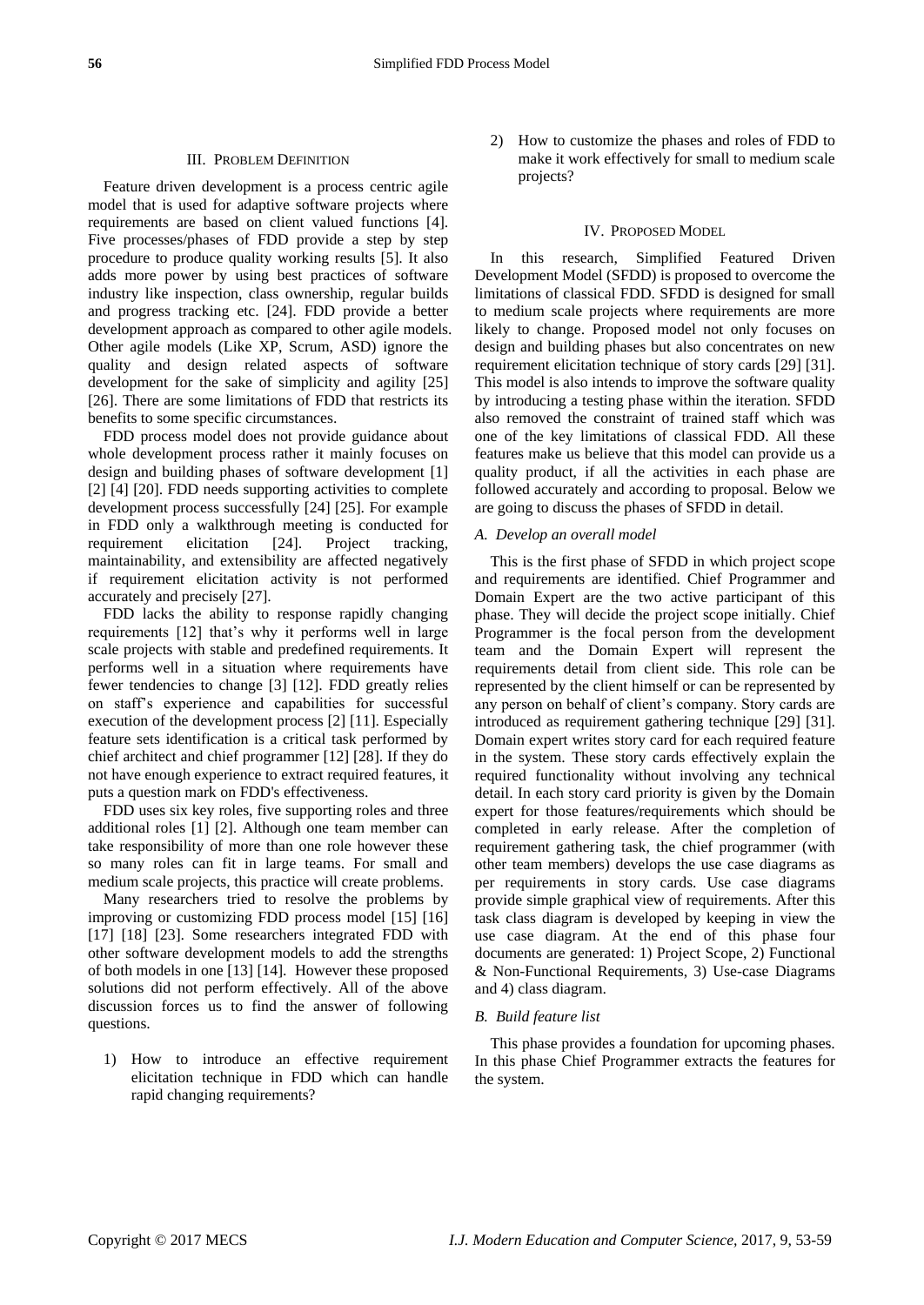## III. PROBLEM DEFINITION

Feature driven development is a process centric agile model that is used for adaptive software projects where requirements are based on client valued functions [4]. Five processes/phases of FDD provide a step by step procedure to produce quality working results [5]. It also adds more power by using best practices of software industry like inspection, class ownership, regular builds and progress tracking etc. [24]. FDD provide a better development approach as compared to other agile models. Other agile models (Like XP, Scrum, ASD) ignore the quality and design related aspects of software development for the sake of simplicity and agility [25] [26]. There are some limitations of FDD that restricts its benefits to some specific circumstances.

FDD process model does not provide guidance about whole development process rather it mainly focuses on design and building phases of software development [1] [2] [4] [20]. FDD needs supporting activities to complete development process successfully [24] [25]. For example in FDD only a walkthrough meeting is conducted for requirement elicitation [24]. Project tracking, maintainability, and extensibility are affected negatively if requirement elicitation activity is not performed accurately and precisely [27].

FDD lacks the ability to response rapidly changing requirements [12] that's why it performs well in large scale projects with stable and predefined requirements. It performs well in a situation where requirements have fewer tendencies to change [3] [12]. FDD greatly relies on staff's experience and capabilities for successful execution of the development process [2] [11]. Especially feature sets identification is a critical task performed by chief architect and chief programmer [12] [28]. If they do not have enough experience to extract required features, it puts a question mark on FDD's effectiveness.

FDD uses six key roles, five supporting roles and three additional roles [1] [2]. Although one team member can take responsibility of more than one role however these so many roles can fit in large teams. For small and medium scale projects, this practice will create problems.

Many researchers tried to resolve the problems by improving or customizing FDD process model [15] [16] [17] [18] [23]. Some researchers integrated FDD with other software development models to add the strengths of both models in one [13] [14]. However these proposed solutions did not perform effectively. All of the above discussion forces us to find the answer of following questions.

1) How to introduce an effective requirement elicitation technique in FDD which can handle rapid changing requirements?

2) How to customize the phases and roles of FDD to make it work effectively for small to medium scale projects?

## IV. PROPOSED MODEL

In this research, Simplified Featured Driven Development Model (SFDD) is proposed to overcome the limitations of classical FDD. SFDD is designed for small to medium scale projects where requirements are more likely to change. Proposed model not only focuses on design and building phases but also concentrates on new requirement elicitation technique of story cards [29] [31]. This model is also intends to improve the software quality by introducing a testing phase within the iteration. SFDD also removed the constraint of trained staff which was one of the key limitations of classical FDD. All these features make us believe that this model can provide us a quality product, if all the activities in each phase are followed accurately and according to proposal. Below we are going to discuss the phases of SFDD in detail.

## *A. Develop an overall model*

This is the first phase of SFDD in which project scope and requirements are identified. Chief Programmer and Domain Expert are the two active participant of this phase. They will decide the project scope initially. Chief Programmer is the focal person from the development team and the Domain Expert will represent the requirements detail from client side. This role can be represented by the client himself or can be represented by any person on behalf of client's company. Story cards are introduced as requirement gathering technique [29] [31]. Domain expert writes story card for each required feature in the system. These story cards effectively explain the required functionality without involving any technical detail. In each story card priority is given by the Domain expert for those features/requirements which should be completed in early release. After the completion of requirement gathering task, the chief programmer (with other team members) develops the use case diagrams as per requirements in story cards. Use case diagrams provide simple graphical view of requirements. After this task class diagram is developed by keeping in view the use case diagram. At the end of this phase four documents are generated: 1) Project Scope, 2) Functional & Non-Functional Requirements, 3) Use-case Diagrams and 4) class diagram.

## *B. Build feature list*

This phase provides a foundation for upcoming phases. In this phase Chief Programmer extracts the features for the system.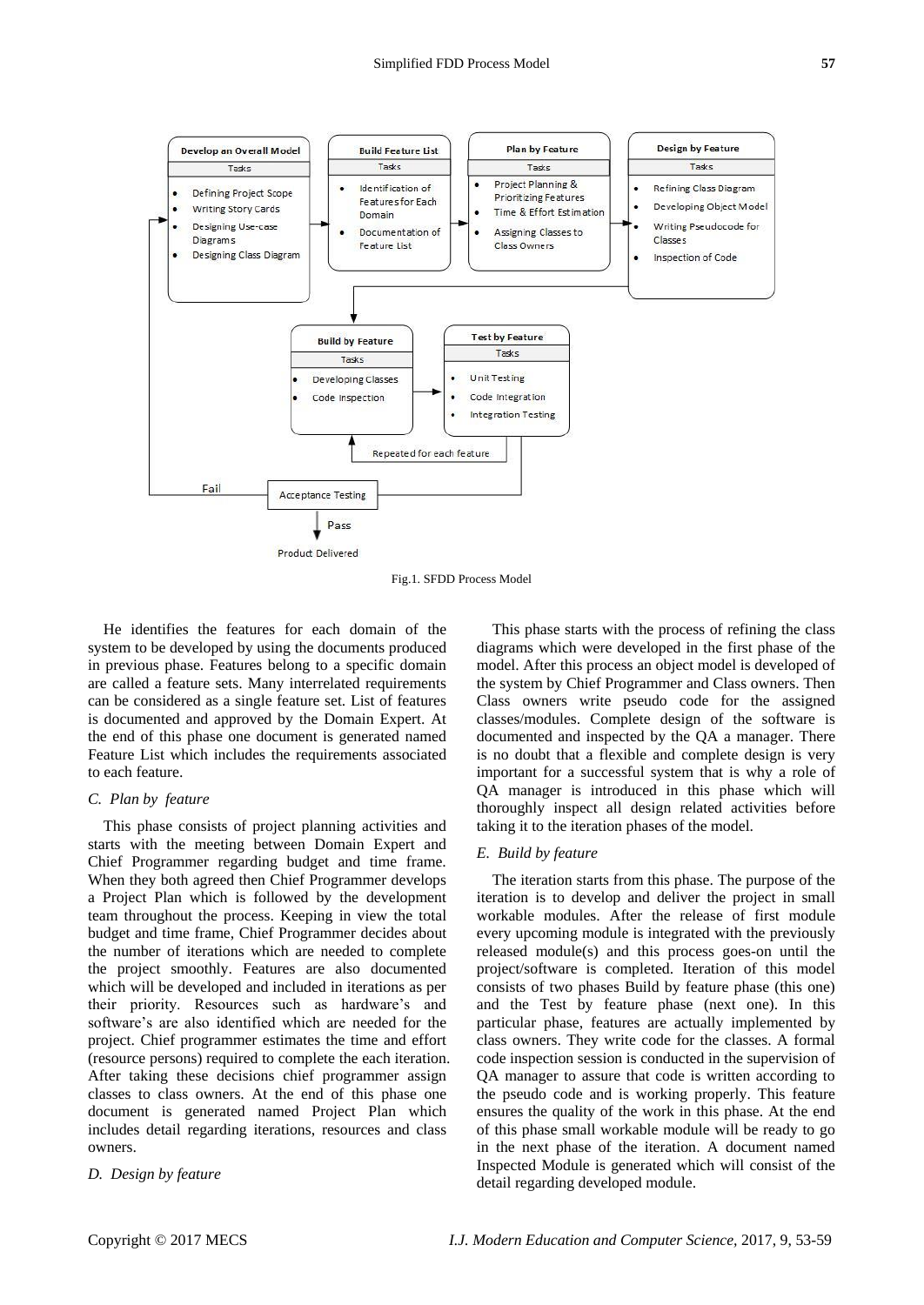

Fig.1. SFDD Process Model

He identifies the features for each domain of the system to be developed by using the documents produced in previous phase. Features belong to a specific domain are called a feature sets. Many interrelated requirements can be considered as a single feature set. List of features is documented and approved by the Domain Expert. At the end of this phase one document is generated named Feature List which includes the requirements associated to each feature.

#### *C. Plan by feature*

This phase consists of project planning activities and starts with the meeting between Domain Expert and Chief Programmer regarding budget and time frame. When they both agreed then Chief Programmer develops a Project Plan which is followed by the development team throughout the process. Keeping in view the total budget and time frame, Chief Programmer decides about the number of iterations which are needed to complete the project smoothly. Features are also documented which will be developed and included in iterations as per their priority. Resources such as hardware's and software's are also identified which are needed for the project. Chief programmer estimates the time and effort (resource persons) required to complete the each iteration. After taking these decisions chief programmer assign classes to class owners. At the end of this phase one document is generated named Project Plan which includes detail regarding iterations, resources and class owners.

*D. Design by feature*

This phase starts with the process of refining the class diagrams which were developed in the first phase of the model. After this process an object model is developed of the system by Chief Programmer and Class owners. Then Class owners write pseudo code for the assigned classes/modules. Complete design of the software is documented and inspected by the QA a manager. There is no doubt that a flexible and complete design is very important for a successful system that is why a role of QA manager is introduced in this phase which will thoroughly inspect all design related activities before taking it to the iteration phases of the model.

## *E. Build by feature*

The iteration starts from this phase. The purpose of the iteration is to develop and deliver the project in small workable modules. After the release of first module every upcoming module is integrated with the previously released module(s) and this process goes-on until the project/software is completed. Iteration of this model consists of two phases Build by feature phase (this one) and the Test by feature phase (next one). In this particular phase, features are actually implemented by class owners. They write code for the classes. A formal code inspection session is conducted in the supervision of QA manager to assure that code is written according to the pseudo code and is working properly. This feature ensures the quality of the work in this phase. At the end of this phase small workable module will be ready to go in the next phase of the iteration. A document named Inspected Module is generated which will consist of the detail regarding developed module.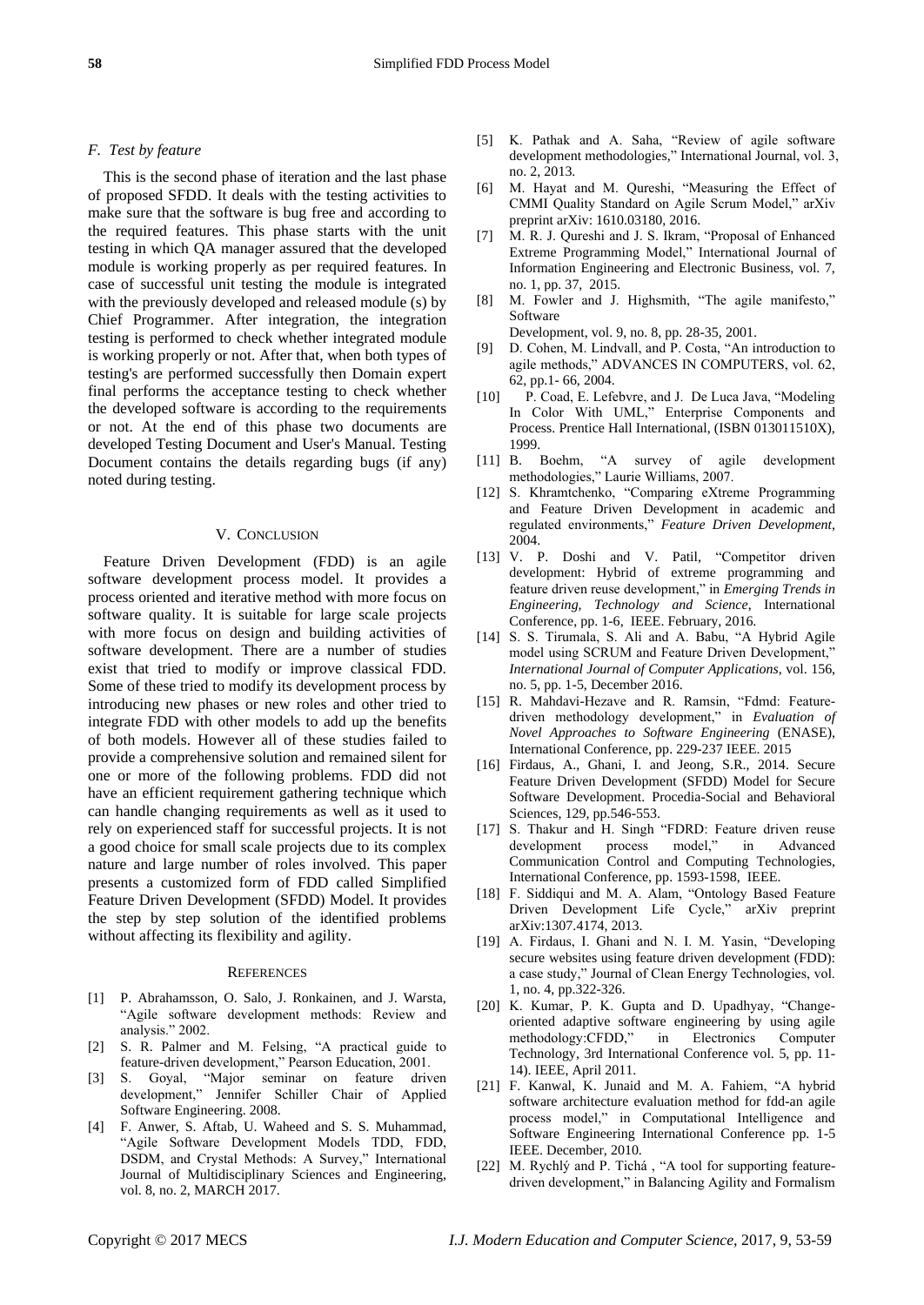### *F. Test by feature*

This is the second phase of iteration and the last phase of proposed SFDD. It deals with the testing activities to make sure that the software is bug free and according to the required features. This phase starts with the unit testing in which QA manager assured that the developed module is working properly as per required features. In case of successful unit testing the module is integrated with the previously developed and released module (s) by Chief Programmer. After integration, the integration testing is performed to check whether integrated module is working properly or not. After that, when both types of testing's are performed successfully then Domain expert final performs the acceptance testing to check whether the developed software is according to the requirements or not. At the end of this phase two documents are developed Testing Document and User's Manual. Testing Document contains the details regarding bugs (if any) noted during testing.

## V. CONCLUSION

Feature Driven Development (FDD) is an agile software development process model. It provides a process oriented and iterative method with more focus on software quality. It is suitable for large scale projects with more focus on design and building activities of software development. There are a number of studies exist that tried to modify or improve classical FDD. Some of these tried to modify its development process by introducing new phases or new roles and other tried to integrate FDD with other models to add up the benefits of both models. However all of these studies failed to provide a comprehensive solution and remained silent for one or more of the following problems. FDD did not have an efficient requirement gathering technique which can handle changing requirements as well as it used to rely on experienced staff for successful projects. It is not a good choice for small scale projects due to its complex nature and large number of roles involved. This paper presents a customized form of FDD called Simplified Feature Driven Development (SFDD) Model. It provides the step by step solution of the identified problems without affecting its flexibility and agility.

#### **REFERENCES**

- [1] P. Abrahamsson, O. Salo, J. Ronkainen, and J. Warsta, "Agile software development methods: Review and analysis." 2002.
- [2] S. R. Palmer and M. Felsing, "A practical guide to feature-driven development," Pearson Education, 2001.
- [3] S. Goyal, "Major seminar on feature driven development," Jennifer Schiller Chair of Applied Software Engineering. 2008.
- [4] F. Anwer, S. Aftab, U. Waheed and S. S. Muhammad, "Agile Software Development Models TDD, FDD, DSDM, and Crystal Methods: A Survey," International Journal of Multidisciplinary Sciences and Engineering, vol. 8, no. 2, MARCH 2017.
- [5] K. Pathak and A. Saha, "Review of agile software development methodologies," International Journal, vol. 3, no. 2, 2013.
- [6] M. Hayat and M. Qureshi, "Measuring the Effect of CMMI Quality Standard on Agile Scrum Model," arXiv preprint arXiv: 1610.03180, 2016.
- [7] M. R. J. Qureshi and J. S. Ikram, "Proposal of Enhanced Extreme Programming Model," International Journal of Information Engineering and Electronic Business, vol. 7, no. 1, pp. 37, 2015.
- [8] M. Fowler and J. Highsmith, "The agile manifesto," Software

Development, vol. 9, no. 8, pp. 28-35, 2001.

- [9] D. Cohen, M. Lindvall, and P. Costa, "An introduction to agile methods," ADVANCES IN COMPUTERS, vol. 62, 62, pp.1- 66, 2004.
- [10] P. Coad, E. Lefebvre, and J. De Luca Java, "Modeling In Color With UML," Enterprise Components and Process. Prentice Hall International, (ISBN 013011510X), 1999.
- [11] B. Boehm, "A survey of agile development methodologies," Laurie Williams, 2007.
- [12] S. Khramtchenko, "Comparing eXtreme Programming and Feature Driven Development in academic and regulated environments," *Feature Driven Development*, 2004.
- [13] V. P. Doshi and V. Patil, "Competitor driven development: Hybrid of extreme programming and feature driven reuse development," in *Emerging Trends in Engineering, Technology and Science*, International Conference, pp. 1-6, IEEE. February, 2016.
- [14] S. S. Tirumala, S. Ali and A. Babu, "A Hybrid Agile model using SCRUM and Feature Driven Development," *International Journal of Computer Applications,* vol. 156, no. 5, pp. 1-5, December 2016.
- [15] R. Mahdavi-Hezave and R. Ramsin, "Fdmd: Featuredriven methodology development," in *Evaluation of Novel Approaches to Software Engineering* (ENASE), International Conference, pp. 229-237 IEEE. 2015
- [16] Firdaus, A., Ghani, I. and Jeong, S.R., 2014. Secure Feature Driven Development (SFDD) Model for Secure Software Development. Procedia-Social and Behavioral Sciences, 129, pp.546-553.
- [17] S. Thakur and H. Singh "FDRD: Feature driven reuse development process model," in Advanced Communication Control and Computing Technologies, International Conference, pp. 1593-1598, IEEE.
- [18] F. Siddiqui and M. A. Alam, "Ontology Based Feature Driven Development Life Cycle," arXiv preprint arXiv:1307.4174, 2013.
- [19] A. Firdaus, I. Ghani and N. I. M. Yasin, "Developing secure websites using feature driven development (FDD): a case study," Journal of Clean Energy Technologies, vol. 1, no. 4, pp.322-326.
- [20] K. Kumar, P. K. Gupta and D. Upadhyay, "Changeoriented adaptive software engineering by using agile methodology:CFDD," in Electronics Computer Technology, 3rd International Conference vol. 5, pp. 11- 14). IEEE, April 2011.
- [21] F. Kanwal, K. Junaid and M. A. Fahiem, "A hybrid software architecture evaluation method for fdd-an agile process model," in Computational Intelligence and Software Engineering International Conference pp. 1-5 IEEE. December, 2010.
- [22] M. Rychlý and P. Tichá, "A tool for supporting featuredriven development," in Balancing Agility and Formalism